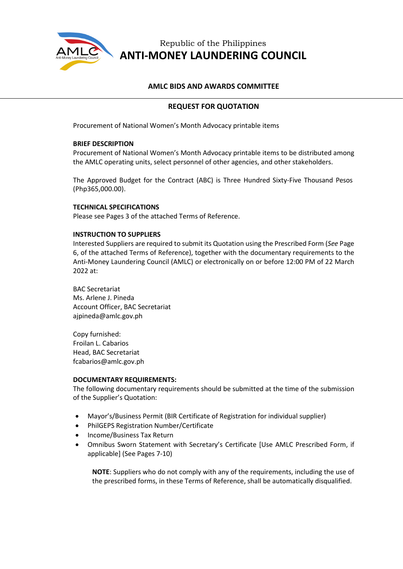

# Republic of the Philippines **ANTI-MONEY LAUNDERING COUNCIL**

### **AMLC BIDS AND AWARDS COMMITTEE**

# **REQUEST FOR QUOTATION**

Procurement of National Women's Month Advocacy printable items

#### **BRIEF DESCRIPTION**

Procurement of National Women's Month Advocacy printable items to be distributed among the AMLC operating units, select personnel of other agencies, and other stakeholders.

The Approved Budget for the Contract (ABC) is Three Hundred Sixty-Five Thousand Pesos (Php365,000.00).

#### **TECHNICAL SPECIFICATIONS**

Please see Pages 3 of the attached Terms of Reference.

#### **INSTRUCTION TO SUPPLIERS**

Interested Suppliers are required to submit its Quotation using the Prescribed Form (*See* Page 6, of the attached Terms of Reference), together with the documentary requirements to the Anti-Money Laundering Council (AMLC) or electronically on or before 12:00 PM of 22 March 2022 at:

BAC Secretariat Ms. Arlene J. Pineda Account Officer, BAC Secretariat ajpineda@amlc.gov.ph

Copy furnished: Froilan L. Cabarios Head, BAC Secretariat fcabarios@amlc.gov.ph

#### **DOCUMENTARY REQUIREMENTS:**

The following documentary requirements should be submitted at the time of the submission of the Supplier's Quotation:

- Mayor's/Business Permit (BIR Certificate of Registration for individual supplier)
- PhilGEPS Registration Number/Certificate
- Income/Business Tax Return
- Omnibus Sworn Statement with Secretary's Certificate [Use AMLC Prescribed Form, if applicable] (See Pages 7-10)

**NOTE**: Suppliers who do not comply with any of the requirements, including the use of the prescribed forms, in these Terms of Reference, shall be automatically disqualified.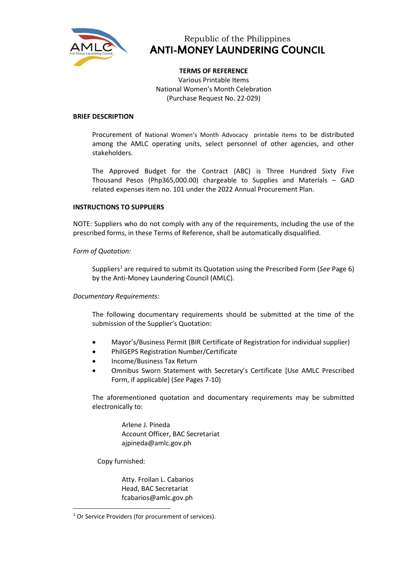

# Republic of the Philippines ANTI-MONEY LAUNDERING COUNCIL

#### **TERMS OF REFERENCE**

Various Printable Items National Women's Month Celebration (Purchase Request No. 22-029)

#### **BRIEF DESCRIPTION**

Procurement of National Women's Month Advocacy printable items to be distributed among the AMLC operating units, select personnel of other agencies, and other stakeholders.

The Approved Budget for the Contract (ABC) is Three Hundred Sixty Five Thousand Pesos (Php365,000.00) chargeable to Supplies and Materials – GAD related expenses item no. 101 under the 2022 Annual Procurement Plan.

#### **INSTRUCTIONS TO SUPPLIERS**

NOTE: Suppliers who do not comply with any of the requirements, including the use of the prescribed forms, in these Terms of Reference, shall be automatically disqualified.

#### *Form of Quotation:*

Suppliers<sup>1</sup> are required to submit its Quotation using the Prescribed Form (*See* Page 6) by the Anti-Money Laundering Council (AMLC).

#### *Documentary Requirements:*

The following documentary requirements should be submitted at the time of the submission of the Supplier's Quotation:

- Mayor's/Business Permit (BIR Certificate of Registration for individual supplier)
- PhilGEPS Registration Number/Certificate
- Income/Business Tax Return
- Omnibus Sworn Statement with Secretary's Certificate [Use AMLC Prescribed Form, if applicable] (*See* Pages 7-10)

The aforementioned quotation and documentary requirements may be submitted electronically to:

> Arlene J. Pineda Account Officer, BAC Secretariat ajpineda@amlc.gov.ph

Copy furnished:

Atty. Froilan L. Cabarios Head, BAC Secretariat fcabarios@amlc.gov.ph

<sup>&</sup>lt;sup>1</sup> Or Service Providers (for procurement of services).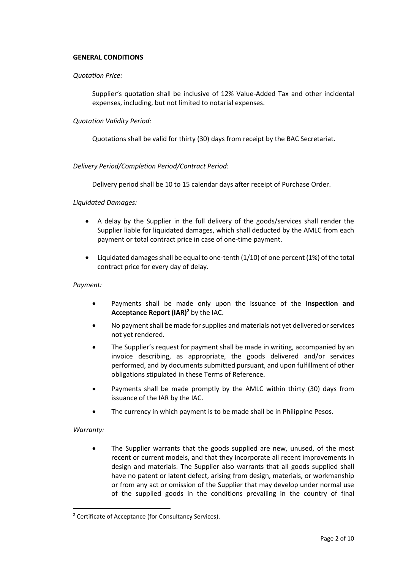#### **GENERAL CONDITIONS**

#### *Quotation Price:*

Supplier's quotation shall be inclusive of 12% Value-Added Tax and other incidental expenses, including, but not limited to notarial expenses.

#### *Quotation Validity Period:*

Quotations shall be valid for thirty (30) days from receipt by the BAC Secretariat.

#### *Delivery Period/Completion Period/Contract Period:*

Delivery period shall be 10 to 15 calendar days after receipt of Purchase Order.

#### *Liquidated Damages:*

- A delay by the Supplier in the full delivery of the goods/services shall render the Supplier liable for liquidated damages, which shall deducted by the AMLC from each payment or total contract price in case of one-time payment.
- Liquidated damages shall be equal to one-tenth  $(1/10)$  of one percent  $(1%)$  of the total contract price for every day of delay.

#### *Payment:*

- Payments shall be made only upon the issuance of the **Inspection and Acceptance Report (IAR)<sup>2</sup>** by the IAC.
- No payment shall be made for supplies and materials not yet delivered or services not yet rendered.
- The Supplier's request for payment shall be made in writing, accompanied by an invoice describing, as appropriate, the goods delivered and/or services performed, and by documents submitted pursuant, and upon fulfillment of other obligations stipulated in these Terms of Reference.
- Payments shall be made promptly by the AMLC within thirty (30) days from issuance of the IAR by the IAC.
- The currency in which payment is to be made shall be in Philippine Pesos.

#### *Warranty:*

• The Supplier warrants that the goods supplied are new, unused, of the most recent or current models, and that they incorporate all recent improvements in design and materials. The Supplier also warrants that all goods supplied shall have no patent or latent defect, arising from design, materials, or workmanship or from any act or omission of the Supplier that may develop under normal use of the supplied goods in the conditions prevailing in the country of final

<sup>2</sup> Certificate of Acceptance (for Consultancy Services).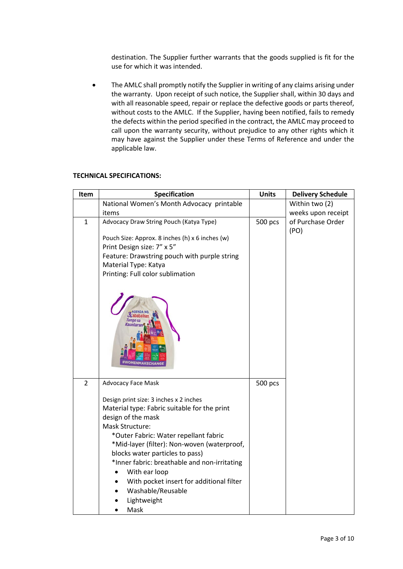destination. The Supplier further warrants that the goods supplied is fit for the use for which it was intended.

• The AMLC shall promptly notify the Supplier in writing of any claims arising under the warranty. Upon receipt of such notice, the Supplier shall, within 30 days and with all reasonable speed, repair or replace the defective goods or parts thereof, without costs to the AMLC. If the Supplier, having been notified, fails to remedy the defects within the period specified in the contract, the AMLC may proceed to call upon the warranty security, without prejudice to any other rights which it may have against the Supplier under these Terms of Reference and under the applicable law.

| Item           | Specification                                                                                                                                                                                                                                                                                                                                                                                                       | <b>Units</b> | <b>Delivery Schedule</b> |
|----------------|---------------------------------------------------------------------------------------------------------------------------------------------------------------------------------------------------------------------------------------------------------------------------------------------------------------------------------------------------------------------------------------------------------------------|--------------|--------------------------|
|                | National Women's Month Advocacy printable                                                                                                                                                                                                                                                                                                                                                                           |              | Within two (2)           |
|                | items                                                                                                                                                                                                                                                                                                                                                                                                               |              | weeks upon receipt       |
| 1              | Advocacy Draw String Pouch (Katya Type)                                                                                                                                                                                                                                                                                                                                                                             | 500 pcs      | of Purchase Order        |
|                |                                                                                                                                                                                                                                                                                                                                                                                                                     |              | (PO)                     |
|                | Pouch Size: Approx. 8 inches (h) x 6 inches (w)                                                                                                                                                                                                                                                                                                                                                                     |              |                          |
|                | Print Design size: 7" x 5"                                                                                                                                                                                                                                                                                                                                                                                          |              |                          |
|                | Feature: Drawstring pouch with purple string<br>Material Type: Katya                                                                                                                                                                                                                                                                                                                                                |              |                          |
|                | Printing: Full color sublimation                                                                                                                                                                                                                                                                                                                                                                                    |              |                          |
|                |                                                                                                                                                                                                                                                                                                                                                                                                                     |              |                          |
|                |                                                                                                                                                                                                                                                                                                                                                                                                                     |              |                          |
| $\overline{2}$ | <b>Advocacy Face Mask</b>                                                                                                                                                                                                                                                                                                                                                                                           | 500 pcs      |                          |
|                | Design print size: 3 inches x 2 inches<br>Material type: Fabric suitable for the print<br>design of the mask<br>Mask Structure:<br>*Outer Fabric: Water repellant fabric<br>*Mid-layer (filter): Non-woven (waterproof,<br>blocks water particles to pass)<br>*Inner fabric: breathable and non-irritating<br>With ear loop<br>With pocket insert for additional filter<br>Washable/Reusable<br>Lightweight<br>Mask |              |                          |

#### **TECHNICAL SPECIFICATIONS:**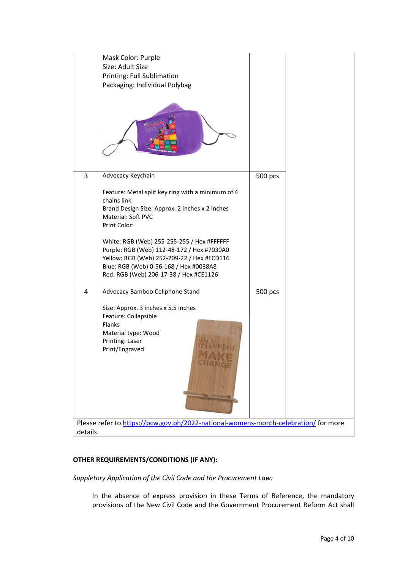|                                                                                    | Mask Color: Purple                                |         |  |  |  |  |
|------------------------------------------------------------------------------------|---------------------------------------------------|---------|--|--|--|--|
|                                                                                    | Size: Adult Size                                  |         |  |  |  |  |
|                                                                                    | <b>Printing: Full Sublimation</b>                 |         |  |  |  |  |
|                                                                                    | Packaging: Individual Polybag                     |         |  |  |  |  |
|                                                                                    |                                                   |         |  |  |  |  |
| 3                                                                                  | Advocacy Keychain                                 | 500 pcs |  |  |  |  |
|                                                                                    | Feature: Metal split key ring with a minimum of 4 |         |  |  |  |  |
|                                                                                    | chains link                                       |         |  |  |  |  |
|                                                                                    | Brand Design Size: Approx. 2 inches x 2 inches    |         |  |  |  |  |
|                                                                                    | Material: Soft PVC                                |         |  |  |  |  |
|                                                                                    | Print Color:                                      |         |  |  |  |  |
|                                                                                    | White: RGB (Web) 255-255-255 / Hex #FFFFFF        |         |  |  |  |  |
|                                                                                    | Purple: RGB (Web) 112-48-172 / Hex #7030A0        |         |  |  |  |  |
|                                                                                    | Yellow: RGB (Web) 252-209-22 / Hex #FCD116        |         |  |  |  |  |
|                                                                                    | Blue: RGB (Web) 0-56-168 / Hex #0038A8            |         |  |  |  |  |
|                                                                                    | Red: RGB (Web) 206-17-38 / Hex #CE1126            |         |  |  |  |  |
|                                                                                    |                                                   |         |  |  |  |  |
| 4                                                                                  | Advocacy Bamboo Cellphone Stand                   | 500 pcs |  |  |  |  |
|                                                                                    | Size: Approx. 3 inches x 5.5 inches               |         |  |  |  |  |
|                                                                                    | Feature: Collapsible                              |         |  |  |  |  |
|                                                                                    | Flanks                                            |         |  |  |  |  |
|                                                                                    | Material type: Wood                               |         |  |  |  |  |
|                                                                                    | Printing: Laser                                   |         |  |  |  |  |
|                                                                                    | Print/Engraved                                    |         |  |  |  |  |
|                                                                                    |                                                   |         |  |  |  |  |
|                                                                                    |                                                   |         |  |  |  |  |
|                                                                                    |                                                   |         |  |  |  |  |
|                                                                                    |                                                   |         |  |  |  |  |
|                                                                                    |                                                   |         |  |  |  |  |
|                                                                                    |                                                   |         |  |  |  |  |
| Please refer to https://pcw.gov.ph/2022-national-womens-month-celebration/for more |                                                   |         |  |  |  |  |
| details.                                                                           |                                                   |         |  |  |  |  |
|                                                                                    |                                                   |         |  |  |  |  |

# **OTHER REQUIREMENTS/CONDITIONS (IF ANY):**

*Suppletory Application of the Civil Code and the Procurement Law:*

In the absence of express provision in these Terms of Reference, the mandatory provisions of the New Civil Code and the Government Procurement Reform Act shall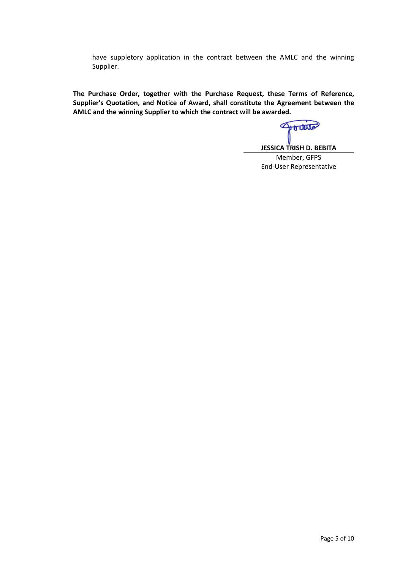have suppletory application in the contract between the AMLC and the winning Supplier.

**The Purchase Order, together with the Purchase Request, these Terms of Reference, Supplier's Quotation, and Notice of Award, shall constitute the Agreement between the AMLC and the winning Supplier to which the contract will be awarded.**

Gottesta

**JESSICA TRISH D. BEBITA**

Member, GFPS End-User Representative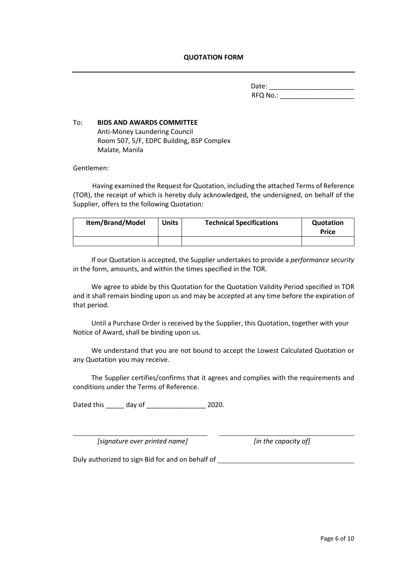| Date:    |  |  |  |  |
|----------|--|--|--|--|
| RFQ No.: |  |  |  |  |

# To:**BIDS AND AWARDS COMMITTEE** Anti-Money Laundering Council Room 507, 5/F, EDPC Building, BSP Complex Malate, Manila

Gentlemen:

Having examined the Request for Quotation, including the attached Terms of Reference (TOR), the receipt of which is hereby duly acknowledged, the undersigned, on behalf of the Supplier, offers to the following Quotation:

| Item/Brand/Model | <b>Units</b> | <b>Technical Specifications</b> | Quotation<br><b>Price</b> |
|------------------|--------------|---------------------------------|---------------------------|
|                  |              |                                 |                           |

If our Quotation is accepted, the Supplier undertakes to provide a *performance security* in the form, amounts, and within the times specified in the TOR.

We agree to abide by this Quotation for the Quotation Validity Period specified in TOR and it shall remain binding upon us and may be accepted at any time before the expiration of that period.

Until a Purchase Order is received by the Supplier, this Quotation, together with your Notice of Award, shall be binding upon us.

We understand that you are not bound to accept the Lowest Calculated Quotation or any Quotation you may receive.

The Supplier certifies/confirms that it agrees and complies with the requirements and conditions under the Terms of Reference.

Dated this \_\_\_\_\_ day of \_\_\_\_\_\_\_\_\_\_\_\_\_\_\_\_ 2020.

*[signature over printed name] [in the capacity of]*

Duly authorized to sign Bid for and on behalf of \_\_\_\_\_\_\_\_\_\_\_\_\_\_\_\_\_\_\_\_\_\_\_\_\_\_\_\_\_\_\_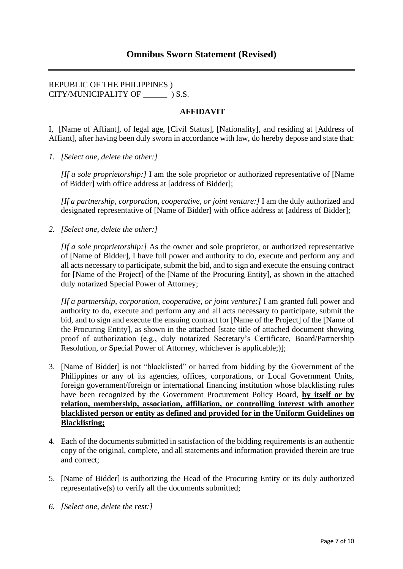## REPUBLIC OF THE PHILIPPINES ) CITY/MUNICIPALITY OF  $\qquad$  ) S.S.

## **AFFIDAVIT**

I, [Name of Affiant], of legal age, [Civil Status], [Nationality], and residing at [Address of Affiant], after having been duly sworn in accordance with law, do hereby depose and state that:

*1. [Select one, delete the other:]*

*[If a sole proprietorship:]* I am the sole proprietor or authorized representative of [Name of Bidder] with office address at [address of Bidder];

*[If a partnership, corporation, cooperative, or joint venture:]* I am the duly authorized and designated representative of [Name of Bidder] with office address at [address of Bidder];

*2. [Select one, delete the other:]*

*[If a sole proprietorship:]* As the owner and sole proprietor, or authorized representative of [Name of Bidder], I have full power and authority to do, execute and perform any and all acts necessary to participate, submit the bid, and to sign and execute the ensuing contract for [Name of the Project] of the [Name of the Procuring Entity], as shown in the attached duly notarized Special Power of Attorney;

*[If a partnership, corporation, cooperative, or joint venture:]* I am granted full power and authority to do, execute and perform any and all acts necessary to participate, submit the bid, and to sign and execute the ensuing contract for [Name of the Project] of the [Name of the Procuring Entity], as shown in the attached [state title of attached document showing proof of authorization (e.g., duly notarized Secretary's Certificate, Board/Partnership Resolution, or Special Power of Attorney, whichever is applicable;)];

- 3. [Name of Bidder] is not "blacklisted" or barred from bidding by the Government of the Philippines or any of its agencies, offices, corporations, or Local Government Units, foreign government/foreign or international financing institution whose blacklisting rules have been recognized by the Government Procurement Policy Board, **by itself or by relation, membership, association, affiliation, or controlling interest with another blacklisted person or entity as defined and provided for in the Uniform Guidelines on Blacklisting;**
- 4. Each of the documents submitted in satisfaction of the bidding requirements is an authentic copy of the original, complete, and all statements and information provided therein are true and correct;
- 5. [Name of Bidder] is authorizing the Head of the Procuring Entity or its duly authorized representative(s) to verify all the documents submitted;
- *6. [Select one, delete the rest:]*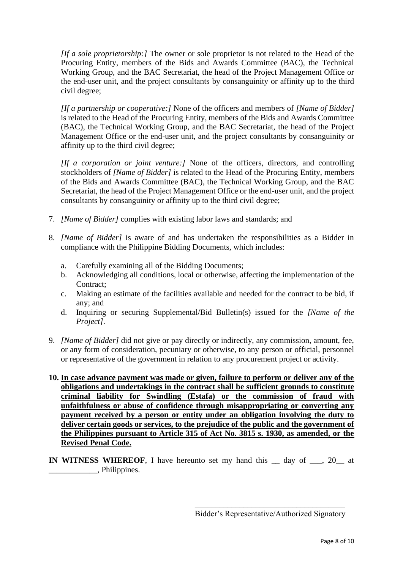*[If a sole proprietorship:]* The owner or sole proprietor is not related to the Head of the Procuring Entity, members of the Bids and Awards Committee (BAC), the Technical Working Group, and the BAC Secretariat, the head of the Project Management Office or the end-user unit, and the project consultants by consanguinity or affinity up to the third civil degree;

*[If a partnership or cooperative:]* None of the officers and members of *[Name of Bidder]*  is related to the Head of the Procuring Entity, members of the Bids and Awards Committee (BAC), the Technical Working Group, and the BAC Secretariat, the head of the Project Management Office or the end-user unit, and the project consultants by consanguinity or affinity up to the third civil degree;

*[If a corporation or joint venture:]* None of the officers, directors, and controlling stockholders of *[Name of Bidder]* is related to the Head of the Procuring Entity, members of the Bids and Awards Committee (BAC), the Technical Working Group, and the BAC Secretariat, the head of the Project Management Office or the end-user unit, and the project consultants by consanguinity or affinity up to the third civil degree;

- 7. *[Name of Bidder]* complies with existing labor laws and standards; and
- 8. *[Name of Bidder]* is aware of and has undertaken the responsibilities as a Bidder in compliance with the Philippine Bidding Documents, which includes:
	- a. Carefully examining all of the Bidding Documents;
	- b. Acknowledging all conditions, local or otherwise, affecting the implementation of the Contract;
	- c. Making an estimate of the facilities available and needed for the contract to be bid, if any; and
	- d. Inquiring or securing Supplemental/Bid Bulletin(s) issued for the *[Name of the Project]*.
- 9. *[Name of Bidder]* did not give or pay directly or indirectly, any commission, amount, fee, or any form of consideration, pecuniary or otherwise, to any person or official, personnel or representative of the government in relation to any procurement project or activity.
- **10. In case advance payment was made or given, failure to perform or deliver any of the obligations and undertakings in the contract shall be sufficient grounds to constitute criminal liability for Swindling (Estafa) or the commission of fraud with unfaithfulness or abuse of confidence through misappropriating or converting any payment received by a person or entity under an obligation involving the duty to deliver certain goods or services, to the prejudice of the public and the government of the Philippines pursuant to Article 315 of Act No. 3815 s. 1930, as amended, or the Revised Penal Code.**
- **IN WITNESS WHEREOF**, I have hereunto set my hand this \_\_ day of \_\_\_, 20\_\_ at \_\_\_\_\_\_\_\_\_\_\_\_, Philippines.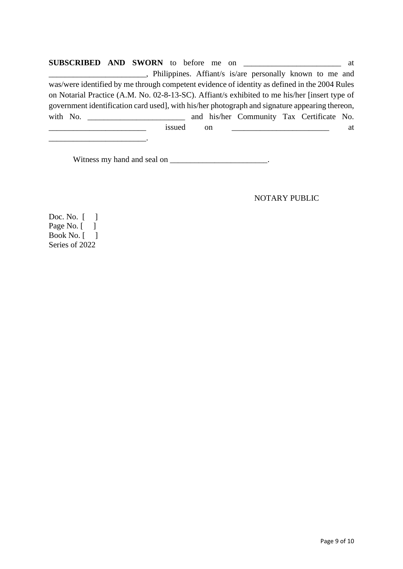**SUBSCRIBED AND SWORN** to before me on and at \_\_\_\_\_\_\_\_\_\_\_\_\_\_\_\_\_\_\_\_\_\_\_\_*,* Philippines. Affiant/s is/are personally known to me and was/were identified by me through competent evidence of identity as defined in the 2004 Rules on Notarial Practice (A.M. No. 02-8-13-SC). Affiant/s exhibited to me his/her [insert type of government identification card used], with his/her photograph and signature appearing thereon, with No. \_\_\_\_\_\_\_\_\_\_\_\_\_\_\_\_\_\_\_\_\_\_\_\_ and his/her Community Tax Certificate No. \_\_\_\_\_\_\_\_\_\_\_\_\_\_\_\_\_\_\_\_\_\_\_\_ issued on \_\_\_\_\_\_\_\_\_\_\_\_\_\_\_\_\_\_\_\_\_\_\_\_ at

Witness my hand and seal on \_\_\_\_\_\_\_\_\_\_\_\_\_\_\_\_\_\_\_\_\_\_.

NOTARY PUBLIC

Doc. No. [ ] Page No.  $\lceil \quad \rceil$ Book No.  $\lceil \quad \rceil$ Series of 2022

\_\_\_\_\_\_\_\_\_\_\_\_\_\_\_\_\_\_\_\_\_\_\_\_.